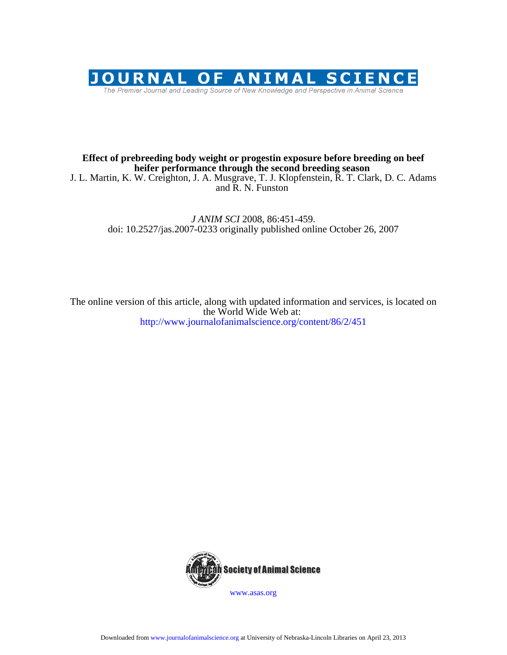

## **heifer performance through the second breeding season Effect of prebreeding body weight or progestin exposure before breeding on beef**

and R. N. Funston J. L. Martin, K. W. Creighton, J. A. Musgrave, T. J. Klopfenstein, R. T. Clark, D. C. Adams

> doi: 10.2527/jas.2007-0233 originally published online October 26, 2007 *J ANIM SCI* 2008, 86:451-459.

http://www.journalofanimalscience.org/content/86/2/451 the World Wide Web at: The online version of this article, along with updated information and services, is located on



www.asas.org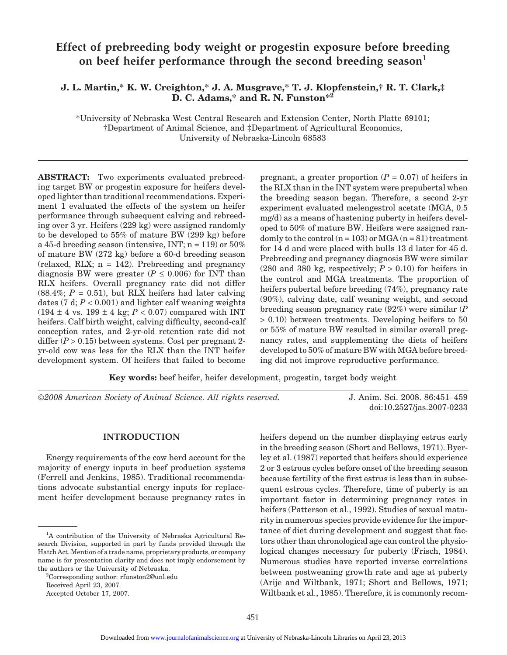# **Effect of prebreeding body weight or progestin exposure before breeding** on beef heifer performance through the second breeding season<sup>1</sup>

## **J. L. Martin,\* K. W. Creighton,\* J. A. Musgrave,\* T. J. Klopfenstein,† R. T. Clark,‡ D. C. Adams,\* and R. N. Funston\*2**

\*University of Nebraska West Central Research and Extension Center, North Platte 69101; †Department of Animal Science, and ‡Department of Agricultural Economics, University of Nebraska-Lincoln 68583

**ABSTRACT:** Two experiments evaluated prebreeding target BW or progestin exposure for heifers developed lighter than traditional recommendations. Experiment 1 evaluated the effects of the system on heifer performance through subsequent calving and rebreeding over 3 yr. Heifers (229 kg) were assigned randomly to be developed to 55% of mature BW (299 kg) before a 45-d breeding season (intensive, INT;  $n = 119$ ) or  $50\%$ of mature BW (272 kg) before a 60-d breeding season (relaxed, RLX; n = 142). Prebreeding and pregnancy diagnosis BW were greater ( $P \leq 0.006$ ) for INT than RLX heifers. Overall pregnancy rate did not differ  $(88.4\%; P = 0.51)$ , but RLX heifers had later calving dates  $(7 \text{ d}; P < 0.001)$  and lighter calf weaning weights  $(194 \pm 4 \text{ vs. } 199 \pm 4 \text{ kg}; P < 0.07)$  compared with INT heifers. Calf birth weight, calving difficulty, second-calf conception rates, and 2-yr-old retention rate did not differ ( $P > 0.15$ ) between systems. Cost per pregnant 2yr-old cow was less for the RLX than the INT heifer development system. Of heifers that failed to become

pregnant, a greater proportion  $(P = 0.07)$  of heifers in the RLX than in the INT system were prepubertal when the breeding season began. Therefore, a second 2-yr experiment evaluated melengestrol acetate (MGA, 0.5 mg/d) as a means of hastening puberty in heifers developed to 50% of mature BW. Heifers were assigned randomly to the control  $(n = 103)$  or MGA  $(n = 81)$  treatment for 14 d and were placed with bulls 13 d later for 45 d. Prebreeding and pregnancy diagnosis BW were similar (280 and 380 kg, respectively;  $P > 0.10$ ) for heifers in the control and MGA treatments. The proportion of heifers pubertal before breeding (74%), pregnancy rate (90%), calving date, calf weaning weight, and second breeding season pregnancy rate (92%) were similar (*P* > 0.10) between treatments. Developing heifers to 50 or 55% of mature BW resulted in similar overall pregnancy rates, and supplementing the diets of heifers developed to 50% of mature BW with MGA before breeding did not improve reproductive performance.

**Key words:** beef heifer, heifer development, progestin, target body weight

©*2008 American Society of Animal Science. All rights reserved.* J. Anim. Sci. 2008. 86:451–459

doi:10.2527/jas.2007-0233

## **INTRODUCTION**

Energy requirements of the cow herd account for the majority of energy inputs in beef production systems (Ferrell and Jenkins, 1985). Traditional recommendations advocate substantial energy inputs for replacement heifer development because pregnancy rates in heifers depend on the number displaying estrus early in the breeding season (Short and Bellows, 1971). Byerley et al. (1987) reported that heifers should experience 2 or 3 estrous cycles before onset of the breeding season because fertility of the first estrus is less than in subsequent estrous cycles. Therefore, time of puberty is an important factor in determining pregnancy rates in heifers (Patterson et al., 1992). Studies of sexual maturity in numerous species provide evidence for the importance of diet during development and suggest that factors other than chronological age can control the physiological changes necessary for puberty (Frisch, 1984). Numerous studies have reported inverse correlations between postweaning growth rate and age at puberty (Arije and Wiltbank, 1971; Short and Bellows, 1971; Wiltbank et al., 1985). Therefore, it is commonly recom-

<sup>&</sup>lt;sup>1</sup>A contribution of the University of Nebraska Agricultural Research Division, supported in part by funds provided through the Hatch Act. Mention of a trade name, proprietary products, or company name is for presentation clarity and does not imply endorsement by the authors or the University of Nebraska.

<sup>2</sup> Corresponding author: rfunston2@unl.edu

Received April 23, 2007.

Accepted October 17, 2007.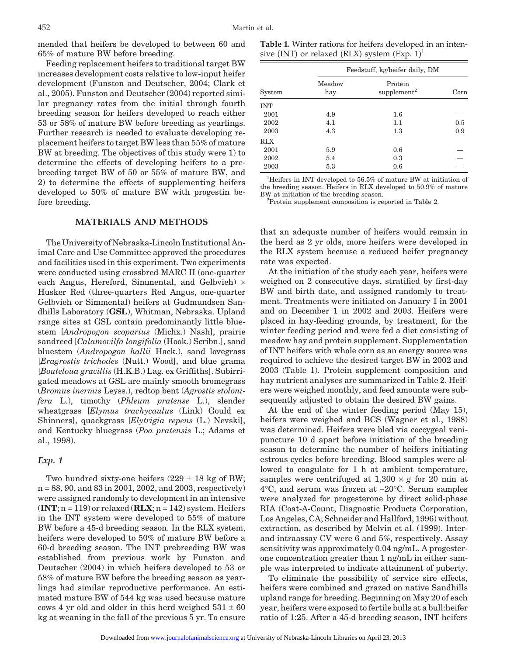mended that heifers be developed to between 60 and 65% of mature BW before breeding.

Feeding replacement heifers to traditional target BW increases development costs relative to low-input heifer development (Funston and Deutscher, 2004; Clark et al., 2005). Funston and Deutscher (2004) reported similar pregnancy rates from the initial through fourth breeding season for heifers developed to reach either 53 or 58% of mature BW before breeding as yearlings. Further research is needed to evaluate developing replacement heifers to target BW less than 55% of mature BW at breeding. The objectives of this study were 1) to determine the effects of developing heifers to a prebreeding target BW of 50 or 55% of mature BW, and 2) to determine the effects of supplementing heifers developed to 50% of mature BW with progestin before breeding.

## **MATERIALS AND METHODS**

The University of Nebraska-Lincoln Institutional Animal Care and Use Committee approved the procedures and facilities used in this experiment. Two experiments were conducted using crossbred MARC II (one-quarter each Angus, Hereford, Simmental, and Gelbvieh)  $\times$ Husker Red (three-quarters Red Angus, one-quarter Gelbvieh or Simmental) heifers at Gudmundsen Sandhills Laboratory (**GSL**), Whitman, Nebraska. Upland range sites at GSL contain predominantly little bluestem [*Andropogon scoparius* (Michx.) Nash], prairie sandreed [*Calamovilfa longifolia* (Hook.) Scribn.], sand bluestem (*Andropogon hallii* Hack.), sand lovegrass [*Eragrostis trichodes* (Nutt.) Wood], and blue grama [*Bouteloua gracillis* (H.K.B.) Lag. ex Griffiths]. Subirrigated meadows at GSL are mainly smooth bromegrass (*Bromus inermis* Leyss.), redtop bent (*Agrostis stolonifera* L.), timothy (*Phleum pratense* L.), slender wheatgrass [*Elymus trachycaulus* (Link) Gould ex Shinners], quackgrass [*Elytrigia repens* (L.) Nevski], and Kentucky bluegrass (*Poa pratensis* L.; Adams et al., 1998).

#### *Exp. 1*

Two hundred sixty-one heifers  $(229 \pm 18 \text{ kg of BW})$ ; n = 88, 90, and 83 in 2001, 2002, and 2003, respectively) were assigned randomly to development in an intensive  $(INT; n = 119)$  or relaxed  $(RLX; n = 142)$  system. Heifers in the INT system were developed to 55% of mature BW before a 45-d breeding season. In the RLX system, heifers were developed to 50% of mature BW before a 60-d breeding season. The INT prebreeding BW was established from previous work by Funston and Deutscher (2004) in which heifers developed to 53 or 58% of mature BW before the breeding season as yearlings had similar reproductive performance. An estimated mature BW of 544 kg was used because mature cows 4 yr old and older in this herd weighed  $531 \pm 60$ kg at weaning in the fall of the previous 5 yr. To ensure

**Table 1.** Winter rations for heifers developed in an intensive (INT) or relaxed (RLX) system  $(Exp. 1)^1$ 

|            | Feedstuff, kg/heifer daily, DM |                                    |      |  |
|------------|--------------------------------|------------------------------------|------|--|
| System     | Meadow<br>hay                  | Protein<br>supplement <sup>2</sup> | Corn |  |
| <b>INT</b> |                                |                                    |      |  |
| 2001       | 4.9                            | 1.6                                |      |  |
| 2002       | 4.1                            | 1.1                                | 0.5  |  |
| 2003       | 4.3                            | $1.3\,$                            | 0.9  |  |
| <b>RLX</b> |                                |                                    |      |  |
| 2001       | 5.9                            | 0.6                                |      |  |
| 2002       | 5.4                            | 0.3                                |      |  |
| 2003       | 5.3                            | 0.6                                |      |  |

1 Heifers in INT developed to 56.5% of mature BW at initiation of the breeding season. Heifers in RLX developed to 50.9% of mature BW at initiation of the breeding season.

<sup>2</sup>Protein supplement composition is reported in Table 2.

that an adequate number of heifers would remain in the herd as 2 yr olds, more heifers were developed in the RLX system because a reduced heifer pregnancy rate was expected.

At the initiation of the study each year, heifers were weighed on 2 consecutive days, stratified by first-day BW and birth date, and assigned randomly to treatment. Treatments were initiated on January 1 in 2001 and on December 1 in 2002 and 2003. Heifers were placed in hay-feeding grounds, by treatment, for the winter feeding period and were fed a diet consisting of meadow hay and protein supplement. Supplementation of INT heifers with whole corn as an energy source was required to achieve the desired target BW in 2002 and 2003 (Table 1). Protein supplement composition and hay nutrient analyses are summarized in Table 2. Heifers were weighed monthly, and feed amounts were subsequently adjusted to obtain the desired BW gains.

At the end of the winter feeding period (May 15), heifers were weighed and BCS (Wagner et al., 1988) was determined. Heifers were bled via coccygeal venipuncture 10 d apart before initiation of the breeding season to determine the number of heifers initiating estrous cycles before breeding. Blood samples were allowed to coagulate for 1 h at ambient temperature, samples were centrifuged at  $1,300 \times g$  for 20 min at 4°C, and serum was frozen at −20°C. Serum samples were analyzed for progesterone by direct solid-phase RIA (Coat-A-Count, Diagnostic Products Corporation, Los Angeles, CA; Schneider and Hallford, 1996) without extraction, as described by Melvin et al. (1999). Interand intraassay CV were 6 and 5%, respectively. Assay sensitivity was approximately 0.04 ng/mL. A progesterone concentration greater than 1 ng/mL in either sample was interpreted to indicate attainment of puberty.

To eliminate the possibility of service sire effects, heifers were combined and grazed on native Sandhills upland range for breeding. Beginning on May 20 of each year, heifers were exposed to fertile bulls at a bull:heifer ratio of 1:25. After a 45-d breeding season, INT heifers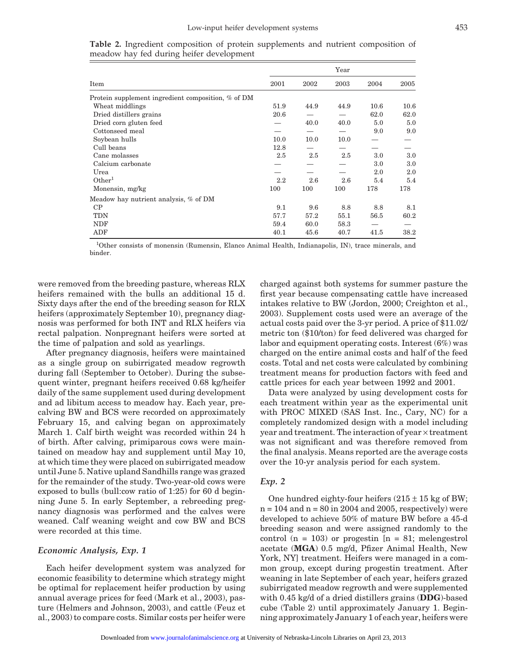|                                                    |      |      | Year |      |      |
|----------------------------------------------------|------|------|------|------|------|
| Item                                               | 2001 | 2002 | 2003 | 2004 | 2005 |
| Protein supplement ingredient composition, % of DM |      |      |      |      |      |
| Wheat middlings                                    | 51.9 | 44.9 | 44.9 | 10.6 | 10.6 |
| Dried distillers grains                            | 20.6 |      |      | 62.0 | 62.0 |
| Dried corn gluten feed                             |      | 40.0 | 40.0 | 5.0  | 5.0  |
| Cottonseed meal                                    |      |      |      | 9.0  | 9.0  |
| Soybean hulls                                      | 10.0 | 10.0 | 10.0 |      |      |
| Cull beans                                         | 12.8 |      |      |      |      |
| Cane molasses                                      | 2.5  | 2.5  | 2.5  | 3.0  | 3.0  |
| Calcium carbonate                                  |      |      |      | 3.0  | 3.0  |
| Urea                                               |      |      |      | 2.0  | 2.0  |
| Other <sup>1</sup>                                 | 2.2  | 2.6  | 2.6  | 5.4  | 5.4  |
| Monensin, mg/kg                                    | 100  | 100  | 100  | 178  | 178  |
| Meadow hay nutrient analysis, % of DM              |      |      |      |      |      |
| CP                                                 | 9.1  | 9.6  | 8.8  | 8.8  | 8.1  |
| TDN                                                | 57.7 | 57.2 | 55.1 | 56.5 | 60.2 |
| NDF                                                | 59.4 | 60.0 | 58.3 |      |      |
| ${\rm ADF}$                                        | 40.1 | 45.6 | 40.7 | 41.5 | 38.2 |

**Table 2.** Ingredient composition of protein supplements and nutrient composition of meadow hay fed during heifer development

<sup>1</sup>Other consists of monensin (Rumensin, Elanco Animal Health, Indianapolis, IN), trace minerals, and binder.

were removed from the breeding pasture, whereas RLX heifers remained with the bulls an additional 15 d. Sixty days after the end of the breeding season for RLX heifers (approximately September 10), pregnancy diagnosis was performed for both INT and RLX heifers via rectal palpation. Nonpregnant heifers were sorted at the time of palpation and sold as yearlings.

After pregnancy diagnosis, heifers were maintained as a single group on subirrigated meadow regrowth during fall (September to October). During the subsequent winter, pregnant heifers received 0.68 kg/heifer daily of the same supplement used during development and ad libitum access to meadow hay. Each year, precalving BW and BCS were recorded on approximately February 15, and calving began on approximately March 1. Calf birth weight was recorded within 24 h of birth. After calving, primiparous cows were maintained on meadow hay and supplement until May 10, at which time they were placed on subirrigated meadow until June 5. Native upland Sandhills range was grazed for the remainder of the study. Two-year-old cows were exposed to bulls (bull:cow ratio of 1:25) for 60 d beginning June 5. In early September, a rebreeding pregnancy diagnosis was performed and the calves were weaned. Calf weaning weight and cow BW and BCS were recorded at this time.

### *Economic Analysis, Exp. 1*

Each heifer development system was analyzed for economic feasibility to determine which strategy might be optimal for replacement heifer production by using annual average prices for feed (Mark et al., 2003), pasture (Helmers and Johnson, 2003), and cattle (Feuz et al., 2003) to compare costs. Similar costs per heifer were

charged against both systems for summer pasture the first year because compensating cattle have increased intakes relative to BW (Jordon, 2000; Creighton et al., 2003). Supplement costs used were an average of the actual costs paid over the 3-yr period. A price of \$11.02/ metric ton (\$10/ton) for feed delivered was charged for labor and equipment operating costs. Interest (6%) was charged on the entire animal costs and half of the feed costs. Total and net costs were calculated by combining treatment means for production factors with feed and cattle prices for each year between 1992 and 2001.

Data were analyzed by using development costs for each treatment within year as the experimental unit with PROC MIXED (SAS Inst. Inc., Cary, NC) for a completely randomized design with a model including year and treatment. The interaction of year × treatment was not significant and was therefore removed from the final analysis. Means reported are the average costs over the 10-yr analysis period for each system.

## *Exp. 2*

One hundred eighty-four heifers  $(215 \pm 15 \text{ kg of BW})$ ;  $n = 104$  and  $n = 80$  in 2004 and 2005, respectively) were developed to achieve 50% of mature BW before a 45-d breeding season and were assigned randomly to the control  $(n = 103)$  or progestin  $[n = 81]$ ; melengestrol acetate (**MGA**) 0.5 mg/d, Pfizer Animal Health, New York, NY] treatment. Heifers were managed in a common group, except during progestin treatment. After weaning in late September of each year, heifers grazed subirrigated meadow regrowth and were supplemented with 0.45 kg/d of a dried distillers grains (**DDG**)-based cube (Table 2) until approximately January 1. Beginning approximately January 1 of each year, heifers were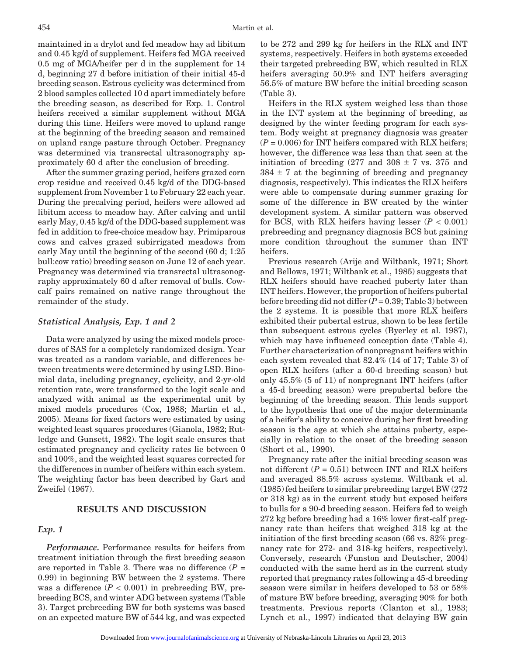maintained in a drylot and fed meadow hay ad libitum and 0.45 kg/d of supplement. Heifers fed MGA received 0.5 mg of MGA/heifer per d in the supplement for 14 d, beginning 27 d before initiation of their initial 45-d breeding season. Estrous cyclicity was determined from 2 blood samples collected 10 d apart immediately before the breeding season, as described for Exp. 1. Control heifers received a similar supplement without MGA during this time. Heifers were moved to upland range at the beginning of the breeding season and remained on upland range pasture through October. Pregnancy was determined via transrectal ultrasonography approximately 60 d after the conclusion of breeding.

After the summer grazing period, heifers grazed corn crop residue and received 0.45 kg/d of the DDG-based supplement from November 1 to February 22 each year. During the precalving period, heifers were allowed ad libitum access to meadow hay. After calving and until early May, 0.45 kg/d of the DDG-based supplement was fed in addition to free-choice meadow hay. Primiparous cows and calves grazed subirrigated meadows from early May until the beginning of the second (60 d; 1:25 bull:cow ratio) breeding season on June 12 of each year. Pregnancy was determined via transrectal ultrasonography approximately 60 d after removal of bulls. Cowcalf pairs remained on native range throughout the remainder of the study.

#### *Statistical Analysis, Exp. 1 and 2*

Data were analyzed by using the mixed models procedures of SAS for a completely randomized design. Year was treated as a random variable, and differences between treatments were determined by using LSD. Binomial data, including pregnancy, cyclicity, and 2-yr-old retention rate, were transformed to the logit scale and analyzed with animal as the experimental unit by mixed models procedures (Cox, 1988; Martin et al., 2005). Means for fixed factors were estimated by using weighted least squares procedures (Gianola, 1982; Rutledge and Gunsett, 1982). The logit scale ensures that estimated pregnancy and cyclicity rates lie between 0 and 100%, and the weighted least squares corrected for the differences in number of heifers within each system. The weighting factor has been described by Gart and Zweifel (1967).

## **RESULTS AND DISCUSSION**

#### *Exp. 1*

*Performance.* Performance results for heifers from treatment initiation through the first breeding season are reported in Table 3. There was no difference  $(P =$ 0.99) in beginning BW between the 2 systems. There was a difference  $(P < 0.001)$  in prebreeding BW, prebreeding BCS, and winter ADG between systems (Table 3). Target prebreeding BW for both systems was based on an expected mature BW of 544 kg, and was expected

to be 272 and 299 kg for heifers in the RLX and INT systems, respectively. Heifers in both systems exceeded their targeted prebreeding BW, which resulted in RLX heifers averaging 50.9% and INT heifers averaging 56.5% of mature BW before the initial breeding season (Table 3).

Heifers in the RLX system weighed less than those in the INT system at the beginning of breeding, as designed by the winter feeding program for each system. Body weight at pregnancy diagnosis was greater  $(P = 0.006)$  for INT heifers compared with RLX heifers; however, the difference was less than that seen at the initiation of breeding  $(277 \text{ and } 308 \pm 7 \text{ vs. } 375 \text{ and }$  $384 \pm 7$  at the beginning of breeding and pregnancy diagnosis, respectively). This indicates the RLX heifers were able to compensate during summer grazing for some of the difference in BW created by the winter development system. A similar pattern was observed for BCS, with RLX heifers having lesser  $(P < 0.001)$ prebreeding and pregnancy diagnosis BCS but gaining more condition throughout the summer than INT heifers.

Previous research (Arije and Wiltbank, 1971; Short and Bellows, 1971; Wiltbank et al., 1985) suggests that RLX heifers should have reached puberty later than INT heifers. However, the proportion of heifers pubertal before breeding did not differ (*P* = 0.39; Table 3) between the 2 systems. It is possible that more RLX heifers exhibited their pubertal estrus, shown to be less fertile than subsequent estrous cycles (Byerley et al. 1987), which may have influenced conception date (Table 4). Further characterization of nonpregnant heifers within each system revealed that 82.4% (14 of 17; Table 3) of open RLX heifers (after a 60-d breeding season) but only 45.5% (5 of 11) of nonpregnant INT heifers (after a 45-d breeding season) were prepubertal before the beginning of the breeding season. This lends support to the hypothesis that one of the major determinants of a heifer's ability to conceive during her first breeding season is the age at which she attains puberty, especially in relation to the onset of the breeding season (Short et al., 1990).

Pregnancy rate after the initial breeding season was not different  $(P = 0.51)$  between INT and RLX heifers and averaged 88.5% across systems. Wiltbank et al. (1985) fed heifers to similar prebreeding target BW (272 or 318 kg) as in the current study but exposed heifers to bulls for a 90-d breeding season. Heifers fed to weigh 272 kg before breeding had a 16% lower first-calf pregnancy rate than heifers that weighed 318 kg at the initiation of the first breeding season (66 vs. 82% pregnancy rate for 272- and 318-kg heifers, respectively). Conversely, research (Funston and Deutscher, 2004) conducted with the same herd as in the current study reported that pregnancy rates following a 45-d breeding season were similar in heifers developed to 53 or 58% of mature BW before breeding, averaging 90% for both treatments. Previous reports (Clanton et al., 1983; Lynch et al., 1997) indicated that delaying BW gain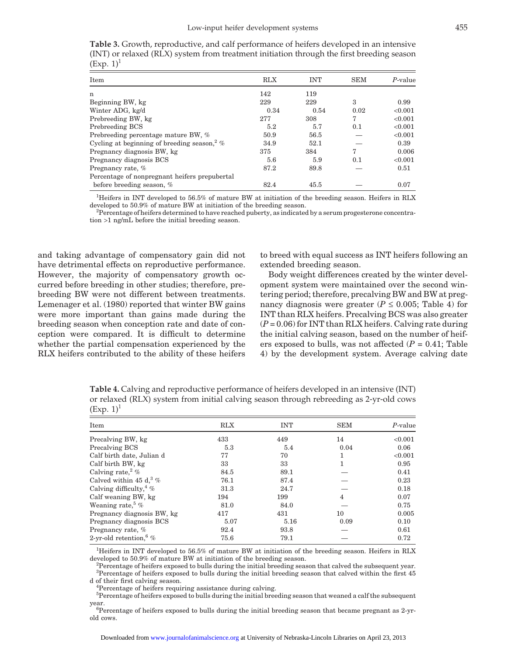|              | <b>Table 3.</b> Growth, reproductive, and calf performance of heifers developed in an intensive |  |  |  |  |  |  |
|--------------|-------------------------------------------------------------------------------------------------|--|--|--|--|--|--|
|              | (INT) or relaxed (RLX) system from treatment initiation through the first breeding season       |  |  |  |  |  |  |
| $(Exp. 1)^1$ |                                                                                                 |  |  |  |  |  |  |

| Item                                                        | <b>RLX</b> | <b>INT</b> | <b>SEM</b> | $P$ -value |
|-------------------------------------------------------------|------------|------------|------------|------------|
| n                                                           | 142        | 119        |            |            |
| Beginning BW, kg                                            | 229        | 229        | 3          | 0.99       |
| Winter ADG, kg/d                                            | 0.34       | 0.54       | 0.02       | < 0.001    |
| Prebreeding BW, kg                                          | 277        | 308        | 7          | < 0.001    |
| Prebreeding BCS                                             | 5.2        | 5.7        | 0.1        | < 0.001    |
| Prebreeding percentage mature BW, %                         | 50.9       | 56.5       |            | < 0.001    |
| Cycling at beginning of breeding season, $\frac{2}{\infty}$ | 34.9       | 52.1       |            | 0.39       |
| Pregnancy diagnosis BW, kg                                  | 375        | 384        | 7          | 0.006      |
| Pregnancy diagnosis BCS                                     | 5.6        | 5.9        | 0.1        | < 0.001    |
| Pregnancy rate, %                                           | 87.2       | 89.8       |            | 0.51       |
| Percentage of nonpregnant heifers prepubertal               |            |            |            |            |
| before breeding season, %                                   | 82.4       | 45.5       |            | 0.07       |

1 Heifers in INT developed to 56.5% of mature BW at initiation of the breeding season. Heifers in RLX developed to 50.9% of mature BW at initiation of the breeding season.

 $P$ ercentage of heifers determined to have reached puberty, as indicated by a serum progesterone concentration >1 ng/mL before the initial breeding season.

and taking advantage of compensatory gain did not have detrimental effects on reproductive performance. However, the majority of compensatory growth occurred before breeding in other studies; therefore, prebreeding BW were not different between treatments. Lemenager et al. (1980) reported that winter BW gains were more important than gains made during the breeding season when conception rate and date of conception were compared. It is difficult to determine whether the partial compensation experienced by the RLX heifers contributed to the ability of these heifers to breed with equal success as INT heifers following an extended breeding season.

Body weight differences created by the winter development system were maintained over the second wintering period; therefore, precalving BW and BW at pregnancy diagnosis were greater ( $P \le 0.005$ ; Table 4) for INT than RLX heifers. Precalving BCS was also greater  $(P = 0.06)$  for INT than RLX heifers. Calving rate during the initial calving season, based on the number of heifers exposed to bulls, was not affected  $(P = 0.41;$  Table 4) by the development system. Average calving date

**Table 4.** Calving and reproductive performance of heifers developed in an intensive (INT) or relaxed (RLX) system from initial calving season through rebreeding as 2-yr-old cows  $(Exp. 1)^1$ 

| Item                                | <b>RLX</b> | <b>INT</b> | <b>SEM</b> | $P$ -value |
|-------------------------------------|------------|------------|------------|------------|
| Precalving BW, kg                   | 433        | 449        | 14         | < 0.001    |
| Precalving BCS                      | 5.3        | 5.4        | 0.04       | 0.06       |
| Calf birth date, Julian d           | 77         | 70         | 1          | < 0.001    |
| Calf birth BW, kg                   | 33         | 33         | 1          | 0.95       |
| Calving rate, $\frac{2}{%}$         | 84.5       | 89.1       |            | 0.41       |
| Calved within 45 d, $\frac{3}{6}$ % | 76.1       | 87.4       |            | 0.23       |
| Calving difficulty, $4\%$           | 31.3       | 24.7       |            | 0.18       |
| Calf weaning BW, kg                 | 194        | 199        | 4          | 0.07       |
| Weaning rate, $\%$                  | 81.0       | 84.0       |            | 0.75       |
| Pregnancy diagnosis BW, kg          | 417        | 431        | 10         | 0.005      |
| Pregnancy diagnosis BCS             | 5.07       | 5.16       | 0.09       | 0.10       |
| Pregnancy rate, %                   | 92.4       | 93.8       |            | 0.61       |
| 2-yr-old retention, $\%$            | 75.6       | 79.1       |            | 0.72       |

1 Heifers in INT developed to 56.5% of mature BW at initiation of the breeding season. Heifers in RLX developed to 50.9% of mature BW at initiation of the breeding season.

 $P^2$ Percentage of heifers exposed to bulls during the initial breeding season that calved the subsequent year. <sup>3</sup>Percentage of heifers exposed to bulls during the initial breeding season that calved within the first 45 d of their first calving season. <sup>4</sup>

<sup>4</sup>Percentage of heifers requiring assistance during calving.

<sup>5</sup>Percentage of heifers exposed to bulls during the initial breeding season that weaned a calf the subsequent year.

<sup>6</sup>Percentage of heifers exposed to bulls during the initial breeding season that became pregnant as 2-yrold cows.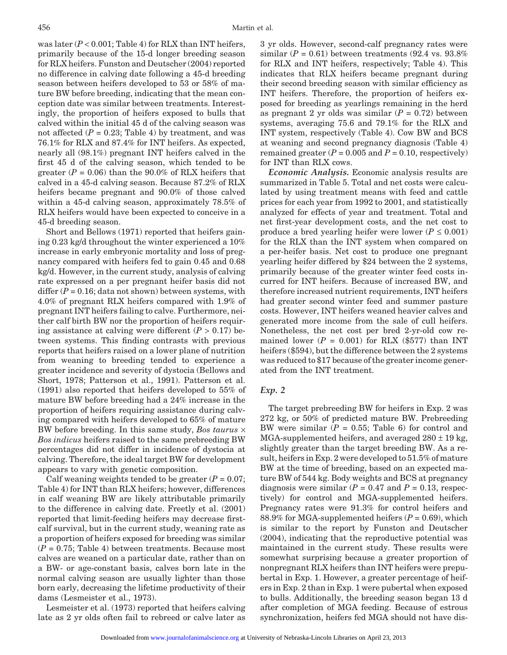was later  $(P < 0.001$ ; Table 4) for RLX than INT heifers, primarily because of the 15-d longer breeding season for RLX heifers. Funston and Deutscher (2004) reported no difference in calving date following a 45-d breeding season between heifers developed to 53 or 58% of mature BW before breeding, indicating that the mean conception date was similar between treatments. Interestingly, the proportion of heifers exposed to bulls that calved within the initial 45 d of the calving season was not affected  $(P = 0.23$ ; Table 4) by treatment, and was 76.1% for RLX and 87.4% for INT heifers. As expected, nearly all (98.1%) pregnant INT heifers calved in the first 45 d of the calving season, which tended to be greater  $(P = 0.06)$  than the 90.0% of RLX heifers that calved in a 45-d calving season. Because 87.2% of RLX heifers became pregnant and 90.0% of those calved within a 45-d calving season, approximately 78.5% of RLX heifers would have been expected to conceive in a 45-d breeding season.

Short and Bellows (1971) reported that heifers gaining 0.23 kg/d throughout the winter experienced a 10% increase in early embryonic mortality and loss of pregnancy compared with heifers fed to gain 0.45 and 0.68 kg/d. However, in the current study, analysis of calving rate expressed on a per pregnant heifer basis did not differ  $(P = 0.16$ ; data not shown) between systems, with 4.0% of pregnant RLX heifers compared with 1.9% of pregnant INT heifers failing to calve. Furthermore, neither calf birth BW nor the proportion of heifers requiring assistance at calving were different  $(P > 0.17)$  between systems. This finding contrasts with previous reports that heifers raised on a lower plane of nutrition from weaning to breeding tended to experience a greater incidence and severity of dystocia (Bellows and Short, 1978; Patterson et al., 1991). Patterson et al. (1991) also reported that heifers developed to 55% of mature BW before breeding had a 24% increase in the proportion of heifers requiring assistance during calving compared with heifers developed to 65% of mature BW before breeding. In this same study, *Bos taurus* × *Bos indicus* heifers raised to the same prebreeding BW percentages did not differ in incidence of dystocia at calving. Therefore, the ideal target BW for development appears to vary with genetic composition.

Calf weaning weights tended to be greater  $(P = 0.07)$ ; Table 4) for INT than RLX heifers; however, differences in calf weaning BW are likely attributable primarily to the difference in calving date. Freetly et al. (2001) reported that limit-feeding heifers may decrease firstcalf survival, but in the current study, weaning rate as a proportion of heifers exposed for breeding was similar  $(P = 0.75;$  Table 4) between treatments. Because most calves are weaned on a particular date, rather than on a BW- or age-constant basis, calves born late in the normal calving season are usually lighter than those born early, decreasing the lifetime productivity of their dams (Lesmeister et al., 1973).

Lesmeister et al. (1973) reported that heifers calving late as 2 yr olds often fail to rebreed or calve later as

3 yr olds. However, second-calf pregnancy rates were similar  $(P = 0.61)$  between treatments (92.4 vs. 93.8%) for RLX and INT heifers, respectively; Table 4). This indicates that RLX heifers became pregnant during their second breeding season with similar efficiency as INT heifers. Therefore, the proportion of heifers exposed for breeding as yearlings remaining in the herd as pregnant 2 yr olds was similar  $(P = 0.72)$  between systems, averaging 75.6 and 79.1% for the RLX and INT system, respectively (Table 4). Cow BW and BCS at weaning and second pregnancy diagnosis (Table 4) remained greater  $(P = 0.005$  and  $P = 0.10$ , respectively) for INT than RLX cows.

*Economic Analysis.* Economic analysis results are summarized in Table 5. Total and net costs were calculated by using treatment means with feed and cattle prices for each year from 1992 to 2001, and statistically analyzed for effects of year and treatment. Total and net first-year development costs, and the net cost to produce a bred yearling heifer were lower ( $P \le 0.001$ ) for the RLX than the INT system when compared on a per-heifer basis. Net cost to produce one pregnant yearling heifer differed by \$24 between the 2 systems, primarily because of the greater winter feed costs incurred for INT heifers. Because of increased BW, and therefore increased nutrient requirements, INT heifers had greater second winter feed and summer pasture costs. However, INT heifers weaned heavier calves and generated more income from the sale of cull heifers. Nonetheless, the net cost per bred 2-yr-old cow remained lower  $(P = 0.001)$  for RLX (\$577) than INT heifers (\$594), but the difference between the 2 systems was reduced to \$17 because of the greater income generated from the INT treatment.

### *Exp. 2*

The target prebreeding BW for heifers in Exp. 2 was 272 kg, or 50% of predicted mature BW. Prebreeding BW were similar  $(P = 0.55;$  Table 6) for control and MGA-supplemented heifers, and averaged  $280 \pm 19$  kg, slightly greater than the target breeding BW. As a result, heifers in Exp. 2 were developed to 51.5% of mature BW at the time of breeding, based on an expected mature BW of 544 kg. Body weights and BCS at pregnancy diagnosis were similar  $(P = 0.47$  and  $P = 0.13$ , respectively) for control and MGA-supplemented heifers. Pregnancy rates were 91.3% for control heifers and 88.9% for MGA-supplemented heifers  $(P = 0.69)$ , which is similar to the report by Funston and Deutscher (2004), indicating that the reproductive potential was maintained in the current study. These results were somewhat surprising because a greater proportion of nonpregnant RLX heifers than INT heifers were prepubertal in Exp. 1. However, a greater percentage of heifers in Exp. 2 than in Exp. 1 were pubertal when exposed to bulls. Additionally, the breeding season began 13 d after completion of MGA feeding. Because of estrous synchronization, heifers fed MGA should not have dis-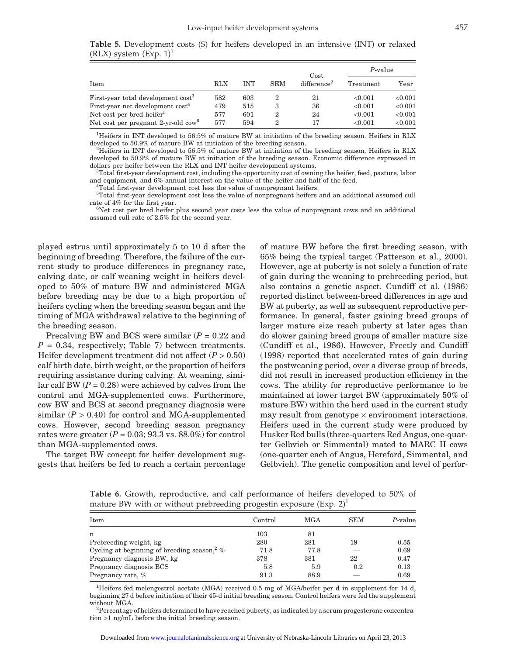|                                                |     |            |            | Cost                    | P-value   |         |
|------------------------------------------------|-----|------------|------------|-------------------------|-----------|---------|
| Item                                           | RLX | <b>INT</b> | <b>SEM</b> | difference <sup>2</sup> | Treatment | Year    |
| First-year total development cost <sup>3</sup> | 582 | 603        | 2          | 21                      | < 0.001   | < 0.001 |
| First-year net development cost <sup>4</sup>   | 479 | 515        | 3          | 36                      | < 0.001   | < 0.001 |
| Net cost per bred heifer <sup>5</sup>          | 577 | 601        | 2          | 24                      | < 0.001   | < 0.001 |
| Net cost per pregnant 2-yr-old $\text{row}^6$  | 577 | 594        | 2          | 17                      | < 0.001   | < 0.001 |

**Table 5.** Development costs (\$) for heifers developed in an intensive (INT) or relaxed  $(RLX)$  system  $(Exp. 1)^1$ 

<sup>1</sup>Heifers in INT developed to 56.5% of mature BW at initiation of the breeding season. Heifers in RLX developed to 50.9% of mature BW at initiation of the breeding season.

 $H^2$ Heifers in INT developed to 56.5% of mature BW at initiation of the breeding season. Heifers in RLX developed to 50.9% of mature BW at initiation of the breeding season. Economic difference expressed in dollars per heifer between the RLX and INT heifer development systems.

Total first-year development cost, including the opportunity cost of owning the heifer, feed, pasture, labor and equipment, and 6% annual interest on the value of the heifer and half of the feed. <sup>4</sup>

Total first-year development cost less the value of nonpregnant heifers. 5 Total first-year development cost less the value of nonpregnant heifers and an additional assumed cull

rate of 4% for the first year.

 $6$ Net cost per bred heifer plus second year costs less the value of nonpregnant cows and an additional assumed cull rate of 2.5% for the second year.

played estrus until approximately 5 to 10 d after the beginning of breeding. Therefore, the failure of the current study to produce differences in pregnancy rate, calving date, or calf weaning weight in heifers developed to 50% of mature BW and administered MGA before breeding may be due to a high proportion of heifers cycling when the breeding season began and the timing of MGA withdrawal relative to the beginning of the breeding season.

Precalving BW and BCS were similar (*P* = 0.22 and  $P = 0.34$ , respectively; Table 7) between treatments. Heifer development treatment did not affect  $(P > 0.50)$ calf birth date, birth weight, or the proportion of heifers requiring assistance during calving. At weaning, similar calf BW  $(P = 0.28)$  were achieved by calves from the control and MGA-supplemented cows. Furthermore, cow BW and BCS at second pregnancy diagnosis were similar  $(P > 0.40)$  for control and MGA-supplemented cows. However, second breeding season pregnancy rates were greater  $(P = 0.03; 93.3 \text{ vs. } 88.0\%)$  for control than MGA-supplemented cows.

The target BW concept for heifer development suggests that heifers be fed to reach a certain percentage of mature BW before the first breeding season, with 65% being the typical target (Patterson et al., 2000). However, age at puberty is not solely a function of rate of gain during the weaning to prebreeding period, but also contains a genetic aspect. Cundiff et al. (1986) reported distinct between-breed differences in age and BW at puberty, as well as subsequent reproductive performance. In general, faster gaining breed groups of larger mature size reach puberty at later ages than do slower gaining breed groups of smaller mature size (Cundiff et al., 1986). However, Freetly and Cundiff (1998) reported that accelerated rates of gain during the postweaning period, over a diverse group of breeds, did not result in increased production efficiency in the cows. The ability for reproductive performance to be maintained at lower target BW (approximately 50% of mature BW) within the herd used in the current study may result from genotype  $\times$  environment interactions. Heifers used in the current study were produced by Husker Red bulls (three-quarters Red Angus, one-quarter Gelbvieh or Simmental) mated to MARC II cows (one-quarter each of Angus, Hereford, Simmental, and Gelbvieh). The genetic composition and level of perfor-

**Table 6.** Growth, reproductive, and calf performance of heifers developed to 50% of mature BW with or without prebreeding progestin exposure  $(Exp. 2)^1$ 

| Item                                                      | Control | <b>MGA</b> | <b>SEM</b> | P-value |
|-----------------------------------------------------------|---------|------------|------------|---------|
| n                                                         | 103     | 81         |            |         |
| Prebreeding weight, kg                                    | 280     | 281        | 19         | 0.55    |
| Cycling at beginning of breeding season, <sup>2</sup> $%$ | 71.8    | 77.8       |            | 0.69    |
| Pregnancy diagnosis BW, kg                                | 378     | 381        | 22         | 0.47    |
| Pregnancy diagnosis BCS                                   | 5.8     | 5.9        | 0.2        | 0.13    |
| Pregnancy rate, %                                         | 91.3    | 88.9       |            | 0.69    |

<sup>1</sup>Heifers fed melengestrol acetate (MGA) received 0.5 mg of MGA/heifer per d in supplement for 14 d, beginning 27 d before initiation of their 45-d initial breeding season. Control heifers were fed the supplement without MGA

<sup>2</sup>Percentage of heifers determined to have reached puberty, as indicated by a serum progesterone concentration >1 ng/mL before the initial breeding season.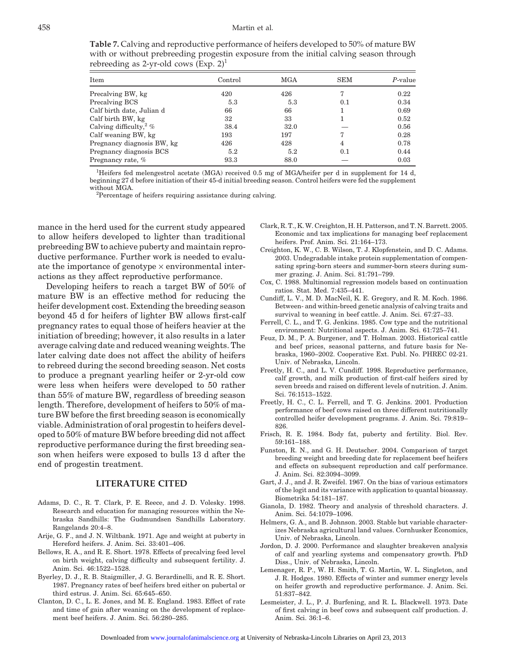**Table 7.** Calving and reproductive performance of heifers developed to 50% of mature BW with or without prebreeding progestin exposure from the initial calving season through rebreeding as 2-yr-old cows  $(Exp. 2)^1$ 

| Item                       | Control | MGA  | <b>SEM</b> | $P$ -value |
|----------------------------|---------|------|------------|------------|
| Precalving BW, kg          | 420     | 426  |            | 0.22       |
| Precalving BCS             | 5.3     | 5.3  | 0.1        | 0.34       |
| Calf birth date, Julian d  | 66      | 66   |            | 0.69       |
| Calf birth BW, kg          | 32      | 33   |            | 0.52       |
| Calving difficulty, $2\%$  | 38.4    | 32.0 |            | 0.56       |
| Calf weaning BW, kg        | 193     | 197  |            | 0.28       |
| Pregnancy diagnosis BW, kg | 426     | 428  | 4          | 0.78       |
| Pregnancy diagnosis BCS    | 5.2     | 5.2  | 0.1        | 0.44       |
| Pregnancy rate, %          | 93.3    | 88.0 |            | 0.03       |

1 Heifers fed melengestrol acetate (MGA) received 0.5 mg of MGA/heifer per d in supplement for 14 d, beginning 27 d before initiation of their 45-d initial breeding season. Control heifers were fed the supplement without MGA.

 ${}^{2}$ Percentage of heifers requiring assistance during calving.

mance in the herd used for the current study appeared to allow heifers developed to lighter than traditional prebreeding BW to achieve puberty and maintain reproductive performance. Further work is needed to evaluate the importance of genotype  $\times$  environmental interactions as they affect reproductive performance.

Developing heifers to reach a target BW of 50% of mature BW is an effective method for reducing the heifer development cost. Extending the breeding season beyond 45 d for heifers of lighter BW allows first-calf pregnancy rates to equal those of heifers heavier at the initiation of breeding; however, it also results in a later average calving date and reduced weaning weights. The later calving date does not affect the ability of heifers to rebreed during the second breeding season. Net costs to produce a pregnant yearling heifer or 2-yr-old cow were less when heifers were developed to 50 rather than 55% of mature BW, regardless of breeding season length. Therefore, development of heifers to 50% of mature BW before the first breeding season is economically viable. Administration of oral progestin to heifers developed to 50% of mature BW before breeding did not affect reproductive performance during the first breeding season when heifers were exposed to bulls 13 d after the end of progestin treatment.

#### **LITERATURE CITED**

- Adams, D. C., R. T. Clark, P. E. Reece, and J. D. Volesky. 1998. Research and education for managing resources within the Nebraska Sandhills: The Gudmundsen Sandhills Laboratory. Rangelands 20:4–8.
- Arije, G. F., and J. N. Wiltbank. 1971. Age and weight at puberty in Hereford heifers. J. Anim. Sci. 33:401–406.
- Bellows, R. A., and R. E. Short. 1978. Effects of precalving feed level on birth weight, calving difficulty and subsequent fertility. J. Anim. Sci. 46:1522–1528.
- Byerley, D. J., R. B. Staigmiller, J. G. Berardinelli, and R. E. Short. 1987. Pregnancy rates of beef heifers bred either on pubertal or third estrus. J. Anim. Sci. 65:645–650.
- Clanton, D. C., L. E. Jones, and M. E. England. 1983. Effect of rate and time of gain after weaning on the development of replacement beef heifers. J. Anim. Sci. 56:280–285.
- Clark, R. T., K. W. Creighton, H. H. Patterson, and T. N. Barrett. 2005. Economic and tax implications for managing beef replacement heifers. Prof. Anim. Sci. 21:164–173.
- Creighton, K. W., C. B. Wilson, T. J. Klopfenstein, and D. C. Adams. 2003. Undegradable intake protein supplementation of compensating spring-born steers and summer-born steers during summer grazing. J. Anim. Sci. 81:791–799.
- Cox, C. 1988. Multinomial regression models based on continuation ratios. Stat. Med. 7:435–441.
- Cundiff, L. V., M. D. MacNeil, K. E. Gregory, and R. M. Koch. 1986. Between- and within-breed genetic analysis of calving traits and survival to weaning in beef cattle. J. Anim. Sci. 67:27–33.
- Ferrell, C. L., and T. G. Jenkins. 1985. Cow type and the nutritional environment: Nutritional aspects. J. Anim. Sci. 61:725–741.
- Feuz, D. M., P. A. Burgener, and T. Holman. 2003. Historical cattle and beef prices, seasonal patterns, and future basis for Nebraska, 1960–2002. Cooperative Ext. Publ. No. PHREC 02-21. Univ. of Nebraska, Lincoln.
- Freetly, H. C., and L. V. Cundiff. 1998. Reproductive performance, calf growth, and milk production of first-calf heifers sired by seven breeds and raised on different levels of nutrition. J. Anim. Sci. 76:1513–1522.
- Freetly, H. C., C. L. Ferrell, and T. G. Jenkins. 2001. Production performance of beef cows raised on three different nutritionally controlled heifer development programs. J. Anim. Sci. 79:819– 826.
- Frisch, R. E. 1984. Body fat, puberty and fertility. Biol. Rev. 59:161–188.
- Funston, R. N., and G. H. Deutscher. 2004. Comparison of target breeding weight and breeding date for replacement beef heifers and effects on subsequent reproduction and calf performance. J. Anim. Sci. 82:3094–3099.
- Gart, J. J., and J. R. Zweifel. 1967. On the bias of various estimators of the logit and its variance with application to quantal bioassay. Biometrika 54:181–187.
- Gianola, D. 1982. Theory and analysis of threshold characters. J. Anim. Sci. 54:1079–1096.
- Helmers, G. A., and B. Johnson. 2003. Stable but variable characterizes Nebraska agricultural land values. Cornhusker Economics, Univ. of Nebraska, Lincoln.
- Jordon, D. J. 2000. Performance and slaughter breakeven analysis of calf and yearling systems and compensatory growth. PhD Diss., Univ. of Nebraska, Lincoln.
- Lemenager, R. P., W. H. Smith, T. G. Martin, W. L. Singleton, and J. R. Hodges. 1980. Effects of winter and summer energy levels on heifer growth and reproductive performance. J. Anim. Sci. 51:837–842.
- Lesmeister, J. L., P. J. Burfening, and R. L. Blackwell. 1973. Date of first calving in beef cows and subsequent calf production. J. Anim. Sci. 36:1–6.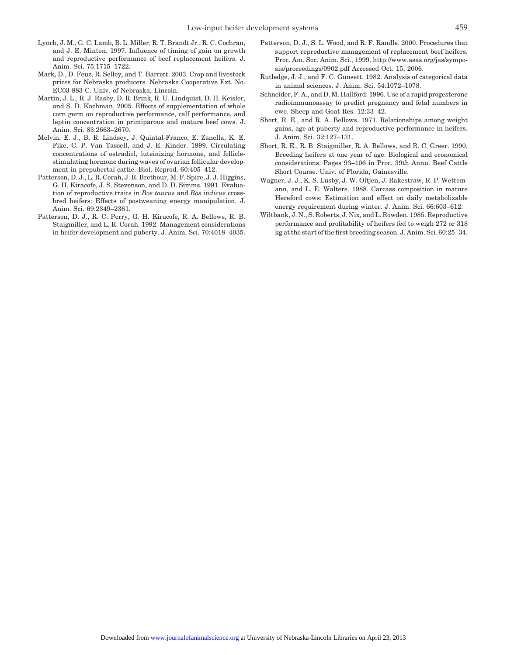- Lynch, J. M., G. C. Lamb, B. L. Miller, R. T. Brandt Jr., R. C. Cochran, and J. E. Minton. 1997. Influence of timing of gain on growth and reproductive performance of beef replacement heifers. J. Anim. Sci. 75:1715–1722.
- Mark, D., D. Feuz, R. Selley, and T. Barrett. 2003. Crop and livestock prices for Nebraska producers. Nebraska Cooperative Ext. No. EC03-883-C. Univ. of Nebraska, Lincoln.
- Martin, J. L., R. J. Rasby, D. R. Brink, R. U. Lindquist, D. H. Keisler, and S. D. Kachman. 2005. Effects of supplementation of whole corn germ on reproductive performance, calf performance, and leptin concentration in primiparous and mature beef cows. J. Anim. Sci. 83:2663–2670.
- Melvin, E. J., B. R. Lindsey, J. Quintal-Franco, E. Zanella, K. E. Fike, C. P. Van Tassell, and J. E. Kinder. 1999. Circulating concentrations of estradiol, luteinizing hormone, and folliclestimulating hormone during waves of ovarian follicular development in prepubertal cattle. Biol. Reprod. 60:405–412.
- Patterson, D. J., L. R. Corah, J. R. Brethour, M. F. Spire, J. J. Higgins, G. H. Kiracofe, J. S. Stevenson, and D. D. Simms. 1991. Evaluation of reproductive traits in *Bos taurus* and *Bos indicus* crossbred heifers: Effects of postweaning energy manipulation. J. Anim. Sci. 69:2349–2361.
- Patterson, D. J., R. C. Perry, G. H. Kiracofe, R. A. Bellows, R. B. Staigmiller, and L. R. Corah. 1992. Management considerations in heifer development and puberty. J. Anim. Sci. 70:4018–4035.
- Patterson, D. J., S. L. Wood, and R. F. Randle. 2000. Procedures that support reproductive management of replacement beef heifers. Proc. Am. Soc. Anim. Sci., 1999. http://www.asas.org/jas/symposia/proceedings/0902.pdf Accessed Oct. 15, 2006.
- Rutledge, J. J., and F. C. Gunsett. 1982. Analysis of categorical data in animal sciences. J. Anim. Sci. 54:1072–1078.
- Schneider, F. A., and D. M. Hallford. 1996. Use of a rapid progesterone radioimmunoassay to predict pregnancy and fetal numbers in ewe. Sheep and Goat Res. 12:33–42.
- Short, R. E., and R. A. Bellows. 1971. Relationships among weight gains, age at puberty and reproductive performance in heifers. J. Anim. Sci. 32:127–131.
- Short, R. E., R. B. Staigmiller, R. A. Bellows, and R. C. Greer. 1990. Breeding heifers at one year of age: Biological and economical considerations. Pages 93–106 in Proc. 39th Annu. Beef Cattle Short Course. Univ. of Florida, Gainesville.
- Wagner, J. J., K. S. Lusby, J. W. Oltjen, J. Rakestraw, R. P. Wettemann, and L. E. Walters. 1988. Carcass composition in mature Hereford cows: Estimation and effect on daily metabolizable energy requirement during winter. J. Anim. Sci. 66:603–612.
- Wiltbank, J. N., S. Roberts, J. Nix, and L. Rowden. 1985. Reproductive performance and profitability of heifers fed to weigh 272 or 318 kg at the start of the first breeding season. J. Anim. Sci. 60:25–34.